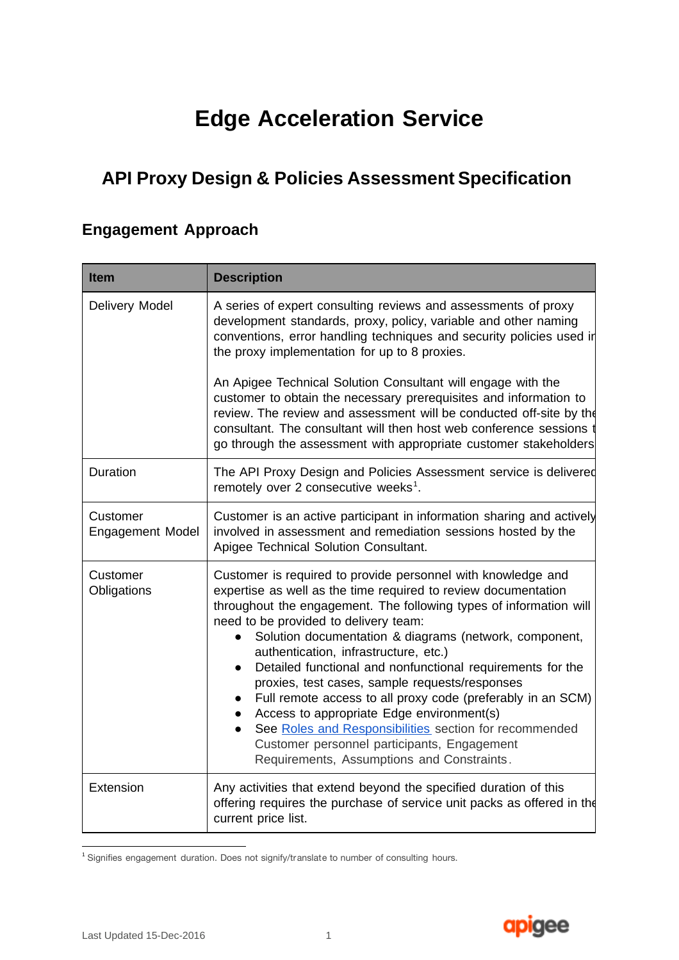# **Edge Acceleration Service**

## **API Proxy Design & Policies Assessment Specification**

## **Engagement Approach**

| <b>Item</b>                  | <b>Description</b>                                                                                                                                                                                                                                                                                                                                                                                                                                                                                                                                                                                                                                                                                                                  |
|------------------------------|-------------------------------------------------------------------------------------------------------------------------------------------------------------------------------------------------------------------------------------------------------------------------------------------------------------------------------------------------------------------------------------------------------------------------------------------------------------------------------------------------------------------------------------------------------------------------------------------------------------------------------------------------------------------------------------------------------------------------------------|
| Delivery Model               | A series of expert consulting reviews and assessments of proxy<br>development standards, proxy, policy, variable and other naming<br>conventions, error handling techniques and security policies used in<br>the proxy implementation for up to 8 proxies.                                                                                                                                                                                                                                                                                                                                                                                                                                                                          |
|                              | An Apigee Technical Solution Consultant will engage with the<br>customer to obtain the necessary prerequisites and information to<br>review. The review and assessment will be conducted off-site by the<br>consultant. The consultant will then host web conference sessions<br>go through the assessment with appropriate customer stakeholders                                                                                                                                                                                                                                                                                                                                                                                   |
| Duration                     | The API Proxy Design and Policies Assessment service is delivered<br>remotely over 2 consecutive weeks <sup>1</sup> .                                                                                                                                                                                                                                                                                                                                                                                                                                                                                                                                                                                                               |
| Customer<br>Engagement Model | Customer is an active participant in information sharing and actively<br>involved in assessment and remediation sessions hosted by the<br>Apigee Technical Solution Consultant.                                                                                                                                                                                                                                                                                                                                                                                                                                                                                                                                                     |
| Customer<br>Obligations      | Customer is required to provide personnel with knowledge and<br>expertise as well as the time required to review documentation<br>throughout the engagement. The following types of information will<br>need to be provided to delivery team:<br>Solution documentation & diagrams (network, component,<br>authentication, infrastructure, etc.)<br>Detailed functional and nonfunctional requirements for the<br>proxies, test cases, sample requests/responses<br>Full remote access to all proxy code (preferably in an SCM)<br>Access to appropriate Edge environment(s)<br>See Roles and Responsibilities section for recommended<br>Customer personnel participants, Engagement<br>Requirements, Assumptions and Constraints. |
| Extension                    | Any activities that extend beyond the specified duration of this<br>offering requires the purchase of service unit packs as offered in the<br>current price list.                                                                                                                                                                                                                                                                                                                                                                                                                                                                                                                                                                   |

<sup>&</sup>lt;sup>1</sup> Signifies engagement duration. Does not signify/translate to number of consulting hours.

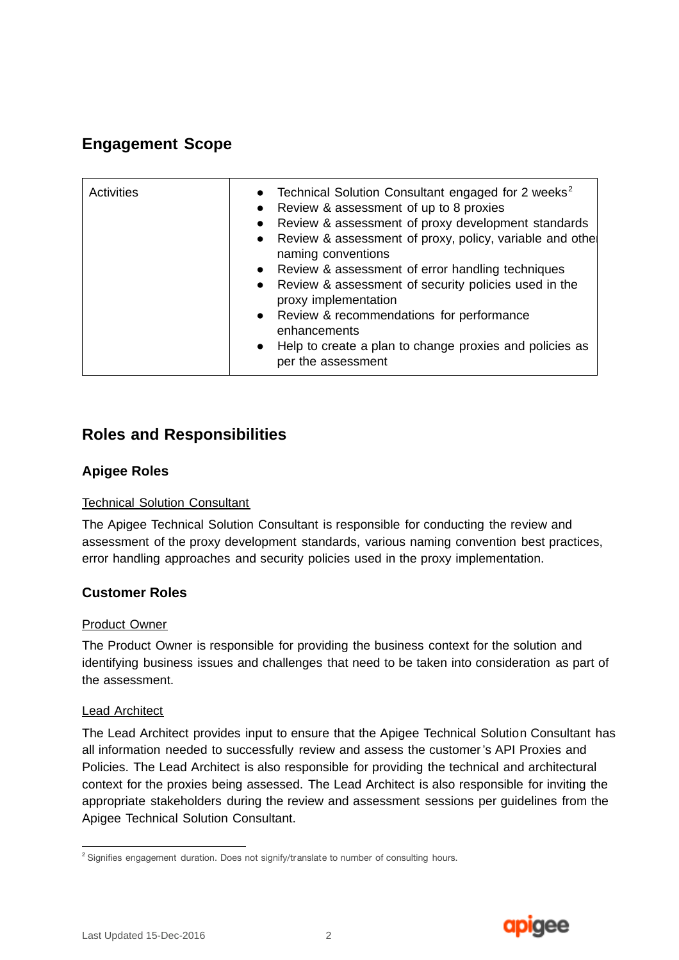## **Engagement Scope**

| <b>Activities</b> | Technical Solution Consultant engaged for 2 weeks <sup>2</sup><br>$\bullet$<br>Review & assessment of up to 8 proxies<br>$\bullet$<br>Review & assessment of proxy development standards<br>Review & assessment of proxy, policy, variable and othe<br>$\bullet$<br>naming conventions<br>• Review & assessment of error handling techniques<br>Review & assessment of security policies used in the<br>$\bullet$<br>proxy implementation<br>• Review & recommendations for performance<br>enhancements<br>Help to create a plan to change proxies and policies as<br>$\bullet$<br>per the assessment |
|-------------------|-------------------------------------------------------------------------------------------------------------------------------------------------------------------------------------------------------------------------------------------------------------------------------------------------------------------------------------------------------------------------------------------------------------------------------------------------------------------------------------------------------------------------------------------------------------------------------------------------------|
|-------------------|-------------------------------------------------------------------------------------------------------------------------------------------------------------------------------------------------------------------------------------------------------------------------------------------------------------------------------------------------------------------------------------------------------------------------------------------------------------------------------------------------------------------------------------------------------------------------------------------------------|

### **Roles and Responsibilities**

#### **Apigee Roles**

#### Technical Solution Consultant

The Apigee Technical Solution Consultant is responsible for conducting the review and assessment of the proxy development standards, various naming convention best practices, error handling approaches and security policies used in the proxy implementation.

#### **Customer Roles**

#### Product Owner

The Product Owner is responsible for providing the business context for the solution and identifying business issues and challenges that need to be taken into consideration as part of the assessment.

#### Lead Architect

The Lead Architect provides input to ensure that the Apigee Technical Solution Consultant has all information needed to successfully review and assess the customer's API Proxies and Policies. The Lead Architect is also responsible for providing the technical and architectural context for the proxies being assessed. The Lead Architect is also responsible for inviting the appropriate stakeholders during the review and assessment sessions per guidelines from the Apigee Technical Solution Consultant.



<sup>&</sup>lt;sup>2</sup> Signifies engagement duration. Does not signify/translate to number of consulting hours.